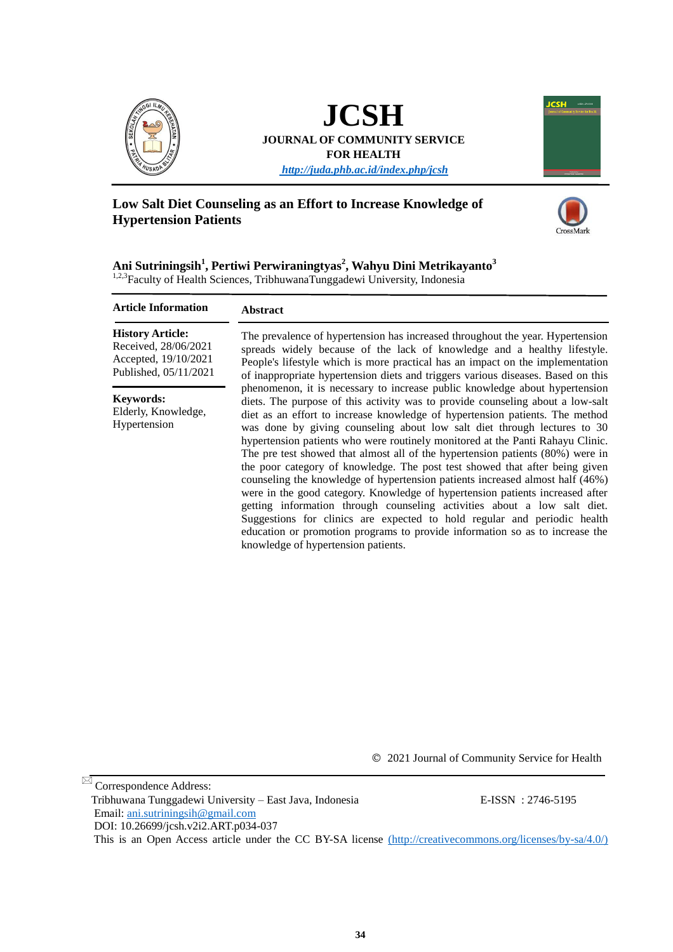

**JCSH JOURNAL OF COMMUNITY SERVICE FOR HEALTH**

*<http://juda.phb.ac.id/index.php/jcsh>*

# **Low Salt Diet Counseling as an Effort to Increase Knowledge of Hypertension Patients**





**Ani Sutriningsih<sup>1</sup> , Pertiwi Perwiraningtyas<sup>2</sup> , Wahyu Dini Metrikayanto<sup>3</sup>** 1,2,3Faculty of Health Sciences, TribhuwanaTunggadewi University, Indonesia

#### **Abstract Article Information**

**History Article:** Received, 28/06/2021 Accepted, 19/10/2021 Published, 05/11/2021

**Keywords:** Elderly, Knowledge, Hypertension

The prevalence of hypertension has increased throughout the year. Hypertension spreads widely because of the lack of knowledge and a healthy lifestyle. People's lifestyle which is more practical has an impact on the implementation of inappropriate hypertension diets and triggers various diseases. Based on this phenomenon, it is necessary to increase public knowledge about hypertension diets. The purpose of this activity was to provide counseling about a low-salt diet as an effort to increase knowledge of hypertension patients. The method was done by giving counseling about low salt diet through lectures to 30 hypertension patients who were routinely monitored at the Panti Rahayu Clinic. The pre test showed that almost all of the hypertension patients (80%) were in the poor category of knowledge. The post test showed that after being given counseling the knowledge of hypertension patients increased almost half (46%) were in the good category. Knowledge of hypertension patients increased after getting information through counseling activities about a low salt diet. Suggestions for clinics are expected to hold regular and periodic health education or promotion programs to provide information so as to increase the knowledge of hypertension patients.

© 2021 Journal of Community Service for Health

Correspondence Address:

 Tribhuwana Tunggadewi University – East Java, Indonesia E-ISSN : 2746-5195 Email: [ani.sutriningsih@gmail.com](mailto:ani.sutriningsih@gmail.com) 

DOI: [10.26699/jcsh.v2i2.ART.p034-03](https://doi.org/10.26699/jcsh.v2i2.ART.p034-037)7

This is an Open Access article under the CC BY-SA license [\(http://creativecommons.org/licenses/by-sa/4.0/\)]((http:/creativecommons.org/licenses/by-sa/4.0/))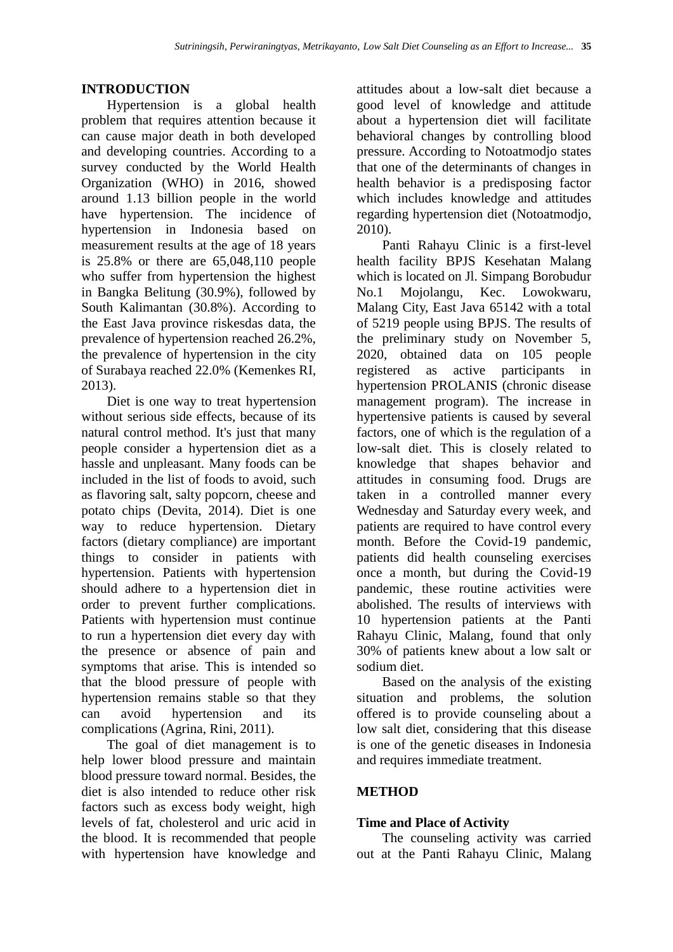# **INTRODUCTION**

Hypertension is a global health problem that requires attention because it can cause major death in both developed and developing countries. According to a survey conducted by the World Health Organization (WHO) in 2016, showed around 1.13 billion people in the world have hypertension. The incidence of hypertension in Indonesia based on measurement results at the age of 18 years is 25.8% or there are 65,048,110 people who suffer from hypertension the highest in Bangka Belitung (30.9%), followed by South Kalimantan (30.8%). According to the East Java province riskesdas data, the prevalence of hypertension reached 26.2%, the prevalence of hypertension in the city of Surabaya reached 22.0% (Kemenkes RI, 2013).

Diet is one way to treat hypertension without serious side effects, because of its natural control method. It's just that many people consider a hypertension diet as a hassle and unpleasant. Many foods can be included in the list of foods to avoid, such as flavoring salt, salty popcorn, cheese and potato chips (Devita, 2014). Diet is one way to reduce hypertension. Dietary factors (dietary compliance) are important things to consider in patients with hypertension. Patients with hypertension should adhere to a hypertension diet in order to prevent further complications. Patients with hypertension must continue to run a hypertension diet every day with the presence or absence of pain and symptoms that arise. This is intended so that the blood pressure of people with hypertension remains stable so that they can avoid hypertension and its complications (Agrina, Rini, 2011).

The goal of diet management is to help lower blood pressure and maintain blood pressure toward normal. Besides, the diet is also intended to reduce other risk factors such as excess body weight, high levels of fat, cholesterol and uric acid in the blood. It is recommended that people with hypertension have knowledge and attitudes about a low-salt diet because a good level of knowledge and attitude about a hypertension diet will facilitate behavioral changes by controlling blood pressure. According to Notoatmodjo states that one of the determinants of changes in health behavior is a predisposing factor which includes knowledge and attitudes regarding hypertension diet (Notoatmodjo, 2010).

Panti Rahayu Clinic is a first-level health facility BPJS Kesehatan Malang which is located on Jl. Simpang Borobudur No.1 Mojolangu, Kec. Lowokwaru, Malang City, East Java 65142 with a total of 5219 people using BPJS. The results of the preliminary study on November 5, 2020, obtained data on 105 people registered as active participants in hypertension PROLANIS (chronic disease management program). The increase in hypertensive patients is caused by several factors, one of which is the regulation of a low-salt diet. This is closely related to knowledge that shapes behavior and attitudes in consuming food. Drugs are taken in a controlled manner every Wednesday and Saturday every week, and patients are required to have control every month. Before the Covid-19 pandemic, patients did health counseling exercises once a month, but during the Covid-19 pandemic, these routine activities were abolished. The results of interviews with 10 hypertension patients at the Panti Rahayu Clinic, Malang, found that only 30% of patients knew about a low salt or sodium diet.

Based on the analysis of the existing situation and problems, the solution offered is to provide counseling about a low salt diet, considering that this disease is one of the genetic diseases in Indonesia and requires immediate treatment.

## **METHOD**

## **Time and Place of Activity**

The counseling activity was carried out at the Panti Rahayu Clinic, Malang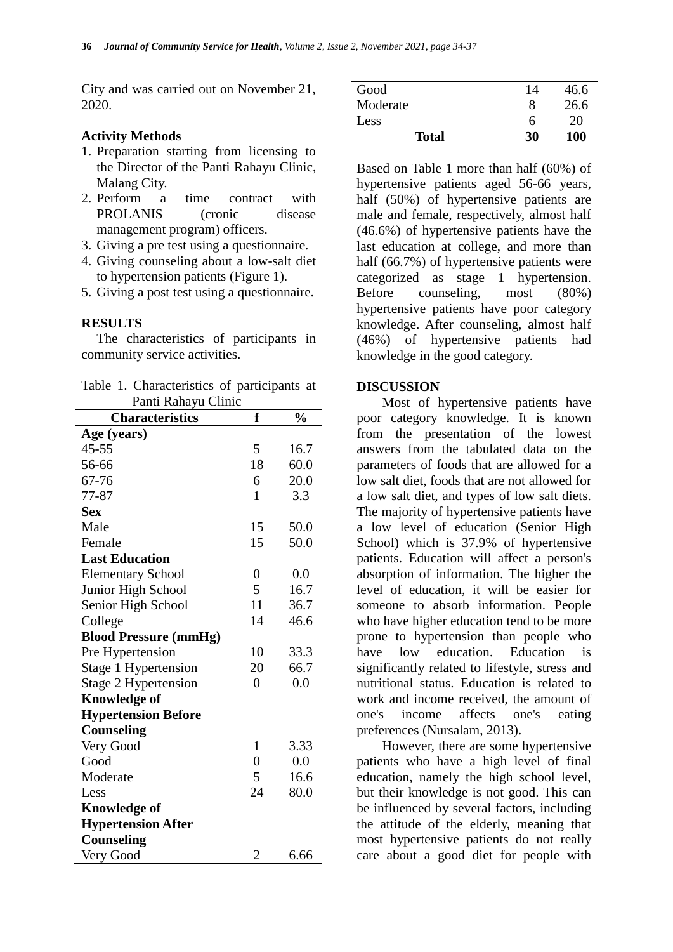City and was carried out on November 21, 2020.

## **Activity Methods**

- 1. Preparation starting from licensing to the Director of the Panti Rahayu Clinic, Malang City.
- 2. Perform a time contract with PROLANIS (cronic disease management program) officers.
- 3. Giving a pre test using a questionnaire.
- 4. Giving counseling about a low-salt diet to hypertension patients (Figure 1).
- 5. Giving a post test using a questionnaire.

### **RESULTS**

The characteristics of participants in community service activities.

|                     |  | Table 1. Characteristics of participants at |  |  |  |  |  |
|---------------------|--|---------------------------------------------|--|--|--|--|--|
| Panti Rahayu Clinic |  |                                             |  |  |  |  |  |

| т ани танауи Сппк<br><b>Characteristics</b> | f                | $\frac{0}{0}$ |  |  |  |
|---------------------------------------------|------------------|---------------|--|--|--|
|                                             |                  |               |  |  |  |
| Age (years)                                 |                  |               |  |  |  |
| $45 - 55$                                   | 5                | 16.7          |  |  |  |
| 56-66                                       | 18               | 60.0          |  |  |  |
| 67-76                                       | 6                | 20.0          |  |  |  |
| 77-87                                       | 1                | 3.3           |  |  |  |
| <b>Sex</b>                                  |                  |               |  |  |  |
| Male                                        | 15               | 50.0          |  |  |  |
| Female                                      | 15               | 50.0          |  |  |  |
| <b>Last Education</b>                       |                  |               |  |  |  |
| <b>Elementary School</b>                    | $\overline{0}$   | 0.0           |  |  |  |
| Junior High School                          | 5                | 16.7          |  |  |  |
| Senior High School                          | 11               | 36.7          |  |  |  |
| College                                     | 14               | 46.6          |  |  |  |
| <b>Blood Pressure (mmHg)</b>                |                  |               |  |  |  |
| Pre Hypertension                            | 10               | 33.3          |  |  |  |
| Stage 1 Hypertension                        | 20               | 66.7          |  |  |  |
| Stage 2 Hypertension                        | $\overline{0}$   | 0.0           |  |  |  |
| <b>Knowledge of</b>                         |                  |               |  |  |  |
| <b>Hypertension Before</b>                  |                  |               |  |  |  |
| Counseling                                  |                  |               |  |  |  |
| Very Good                                   | $\mathbf{1}$     | 3.33          |  |  |  |
| Good                                        | $\boldsymbol{0}$ | 0.0           |  |  |  |
| Moderate                                    | 5                | 16.6          |  |  |  |
| Less                                        | 24               | 80.0          |  |  |  |
| <b>Knowledge of</b>                         |                  |               |  |  |  |
| <b>Hypertension After</b>                   |                  |               |  |  |  |
| Counseling                                  |                  |               |  |  |  |
| Very Good                                   | $\overline{2}$   | 6.66          |  |  |  |

| Good         | 14 | 46.6 |
|--------------|----|------|
| Moderate     | 8  | 26.6 |
| Less         | h  | 20   |
| <b>Total</b> | 30 | 100  |

Based on Table 1 more than half (60%) of hypertensive patients aged 56-66 years, half (50%) of hypertensive patients are male and female, respectively, almost half (46.6%) of hypertensive patients have the last education at college, and more than half (66.7%) of hypertensive patients were categorized as stage 1 hypertension. Before counseling, most (80%) hypertensive patients have poor category knowledge. After counseling, almost half (46%) of hypertensive patients had knowledge in the good category.

### **DISCUSSION**

Most of hypertensive patients have poor category knowledge. It is known from the presentation of the lowest answers from the tabulated data on the parameters of foods that are allowed for a low salt diet, foods that are not allowed for a low salt diet, and types of low salt diets. The majority of hypertensive patients have a low level of education (Senior High School) which is 37.9% of hypertensive patients. Education will affect a person's absorption of information. The higher the level of education, it will be easier for someone to absorb information. People who have higher education tend to be more prone to hypertension than people who have low education. Education is significantly related to lifestyle, stress and nutritional status. Education is related to work and income received, the amount of one's income affects one's eating preferences (Nursalam, 2013).

However, there are some hypertensive patients who have a high level of final education, namely the high school level, but their knowledge is not good. This can be influenced by several factors, including the attitude of the elderly, meaning that most hypertensive patients do not really care about a good diet for people with